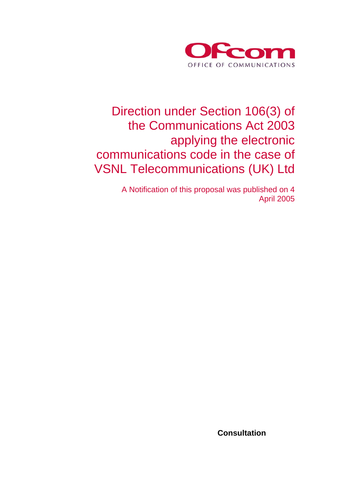

## Direction under Section 106(3) of the Communications Act 2003 applying the electronic communications code in the case of VSNL Telecommunications (UK) Ltd

A Notification of this proposal was published on 4 April 2005

 **Consultation**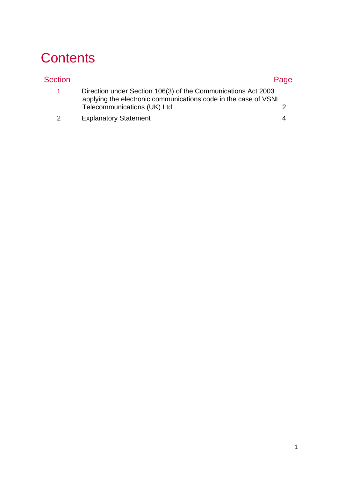# **Contents**

| Section       |                                                                                                                                  | Page |
|---------------|----------------------------------------------------------------------------------------------------------------------------------|------|
| 1.            | Direction under Section 106(3) of the Communications Act 2003<br>applying the electronic communications code in the case of VSNL |      |
|               | Telecommunications (UK) Ltd                                                                                                      |      |
| $\mathcal{P}$ | <b>Explanatory Statement</b>                                                                                                     |      |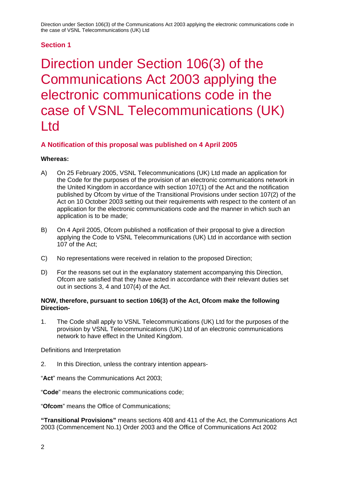### **Section 1**

Direction under Section 106(3) of the Communications Act 2003 applying the electronic communications code in the case of VSNL Telecommunications (UK) Ltd

### **A Notification of this proposal was published on 4 April 2005**

### **Whereas:**

- A) On 25 February 2005, VSNL Telecommunications (UK) Ltd made an application for the Code for the purposes of the provision of an electronic communications network in the United Kingdom in accordance with section 107(1) of the Act and the notification published by Ofcom by virtue of the Transitional Provisions under section 107(2) of the Act on 10 October 2003 setting out their requirements with respect to the content of an application for the electronic communications code and the manner in which such an application is to be made;
- B) On 4 April 2005, Ofcom published a notification of their proposal to give a direction applying the Code to VSNL Telecommunications (UK) Ltd in accordance with section 107 of the Act;
- C) No representations were received in relation to the proposed Direction;
- D) For the reasons set out in the explanatory statement accompanying this Direction, Ofcom are satisfied that they have acted in accordance with their relevant duties set out in sections 3, 4 and 107(4) of the Act.

#### **NOW, therefore, pursuant to section 106(3) of the Act, Ofcom make the following Direction-**

1. The Code shall apply to VSNL Telecommunications (UK) Ltd for the purposes of the provision by VSNL Telecommunications (UK) Ltd of an electronic communications network to have effect in the United Kingdom.

Definitions and Interpretation

2. In this Direction, unless the contrary intention appears-

"**Act**" means the Communications Act 2003;

"**Code**" means the electronic communications code;

"**Ofcom**" means the Office of Communications;

**"Transitional Provisions"** means sections 408 and 411 of the Act, the Communications Act 2003 (Commencement No.1) Order 2003 and the Office of Communications Act 2002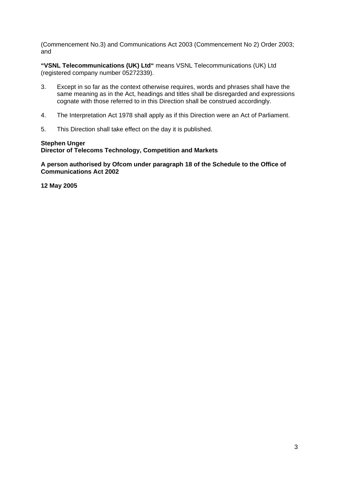(Commencement No.3) and Communications Act 2003 (Commencement No 2) Order 2003; and

**"VSNL Telecommunications (UK) Ltd"** means VSNL Telecommunications (UK) Ltd (registered company number 05272339).

- 3. Except in so far as the context otherwise requires, words and phrases shall have the same meaning as in the Act, headings and titles shall be disregarded and expressions cognate with those referred to in this Direction shall be construed accordingly.
- 4. The Interpretation Act 1978 shall apply as if this Direction were an Act of Parliament.
- 5. This Direction shall take effect on the day it is published.

#### **Stephen Unger**

**Director of Telecoms Technology, Competition and Markets** 

**A person authorised by Ofcom under paragraph 18 of the Schedule to the Office of Communications Act 2002** 

**12 May 2005**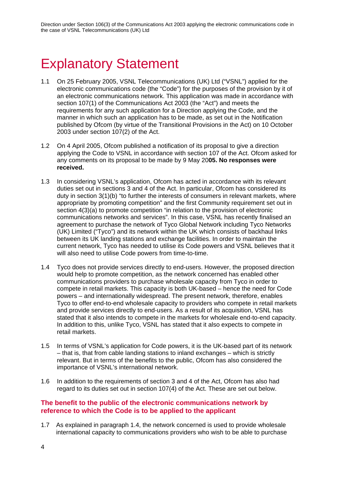# **Explanatory Statement**

- 1.1 On 25 February 2005, VSNL Telecommunications (UK) Ltd ("VSNL") applied for the electronic communications code (the "Code") for the purposes of the provision by it of an electronic communications network. This application was made in accordance with section 107(1) of the Communications Act 2003 (the "Act") and meets the requirements for any such application for a Direction applying the Code, and the manner in which such an application has to be made, as set out in the Notification published by Ofcom (by virtue of the Transitional Provisions in the Act) on 10 October 2003 under section 107(2) of the Act.
- 1.2 On 4 April 2005, Ofcom published a notification of its proposal to give a direction applying the Code to VSNL in accordance with section 107 of the Act. Ofcom asked for any comments on its proposal to be made by 9 May 20**05. No responses were received.**
- 1.3 In considering VSNL's application, Ofcom has acted in accordance with its relevant duties set out in sections 3 and 4 of the Act. In particular, Ofcom has considered its duty in section 3(1)(b) "to further the interests of consumers in relevant markets, where appropriate by promoting competition" and the first Community requirement set out in section  $4(3)(a)$  to promote competition "in relation to the provision of electronic communications networks and services". In this case, VSNL has recently finalised an agreement to purchase the network of Tyco Global Network including Tyco Networks (UK) Limited ("Tyco") and its network within the UK which consists of backhaul links between its UK landing stations and exchange facilities. In order to maintain the current network, Tyco has needed to utilise its Code powers and VSNL believes that it will also need to utilise Code powers from time-to-time.
- 1.4 Tyco does not provide services directly to end-users. However, the proposed direction would help to promote competition, as the network concerned has enabled other communications providers to purchase wholesale capacity from Tyco in order to compete in retail markets. This capacity is both UK-based – hence the need for Code powers – and internationally widespread. The present network, therefore, enables Tyco to offer end-to-end wholesale capacity to providers who compete in retail markets and provide services directly to end-users. As a result of its acquisition, VSNL has stated that it also intends to compete in the markets for wholesale end-to-end capacity. In addition to this, unlike Tyco, VSNL has stated that it also expects to compete in retail markets.
- 1.5 In terms of VSNL's application for Code powers, it is the UK-based part of its network – that is, that from cable landing stations to inland exchanges – which is strictly relevant. But in terms of the benefits to the public, Ofcom has also considered the importance of VSNL's international network.
- 1.6 In addition to the requirements of section 3 and 4 of the Act, Ofcom has also had regard to its duties set out in section 107(4) of the Act. These are set out below.

### **The benefit to the public of the electronic communications network by reference to which the Code is to be applied to the applicant**

1.7 As explained in paragraph 1.4, the network concerned is used to provide wholesale international capacity to communications providers who wish to be able to purchase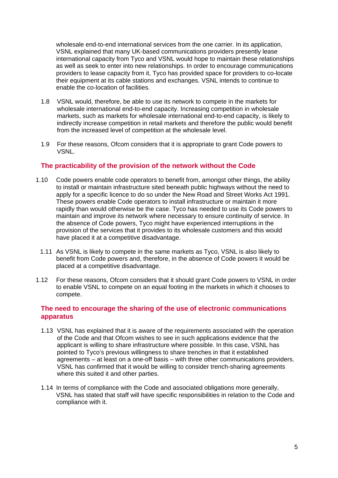wholesale end-to-end international services from the one carrier. In its application, VSNL explained that many UK-based communications providers presently lease international capacity from Tyco and VSNL would hope to maintain these relationships as well as seek to enter into new relationships. In order to encourage communications providers to lease capacity from it, Tyco has provided space for providers to co-locate their equipment at its cable stations and exchanges. VSNL intends to continue to enable the co-location of facilities.

- 1.8 VSNL would, therefore, be able to use its network to compete in the markets for wholesale international end-to-end capacity. Increasing competition in wholesale markets, such as markets for wholesale international end-to-end capacity, is likely to indirectly increase competition in retail markets and therefore the public would benefit from the increased level of competition at the wholesale level.
- 1.9 For these reasons, Ofcom considers that it is appropriate to grant Code powers to VSNL.

### **The practicability of the provision of the network without the Code**

- 1.10 Code powers enable code operators to benefit from, amongst other things, the ability to install or maintain infrastructure sited beneath public highways without the need to apply for a specific licence to do so under the New Road and Street Works Act 1991. These powers enable Code operators to install infrastructure or maintain it more rapidly than would otherwise be the case. Tyco has needed to use its Code powers to maintain and improve its network where necessary to ensure continuity of service. In the absence of Code powers, Tyco might have experienced interruptions in the provision of the services that it provides to its wholesale customers and this would have placed it at a competitive disadvantage.
- 1.11 As VSNL is likely to compete in the same markets as Tyco, VSNL is also likely to benefit from Code powers and, therefore, in the absence of Code powers it would be placed at a competitive disadvantage.
- 1.12 For these reasons, Ofcom considers that it should grant Code powers to VSNL in order to enable VSNL to compete on an equal footing in the markets in which it chooses to compete.

### **The need to encourage the sharing of the use of electronic communications apparatus**

- 1.13 VSNL has explained that it is aware of the requirements associated with the operation of the Code and that Ofcom wishes to see in such applications evidence that the applicant is willing to share infrastructure where possible. In this case, VSNL has pointed to Tyco's previous willingness to share trenches in that it established agreements – at least on a one-off basis – with three other communications providers. VSNL has confirmed that it would be willing to consider trench-sharing agreements where this suited it and other parties.
- 1.14 In terms of compliance with the Code and associated obligations more generally, VSNL has stated that staff will have specific responsibilities in relation to the Code and compliance with it.